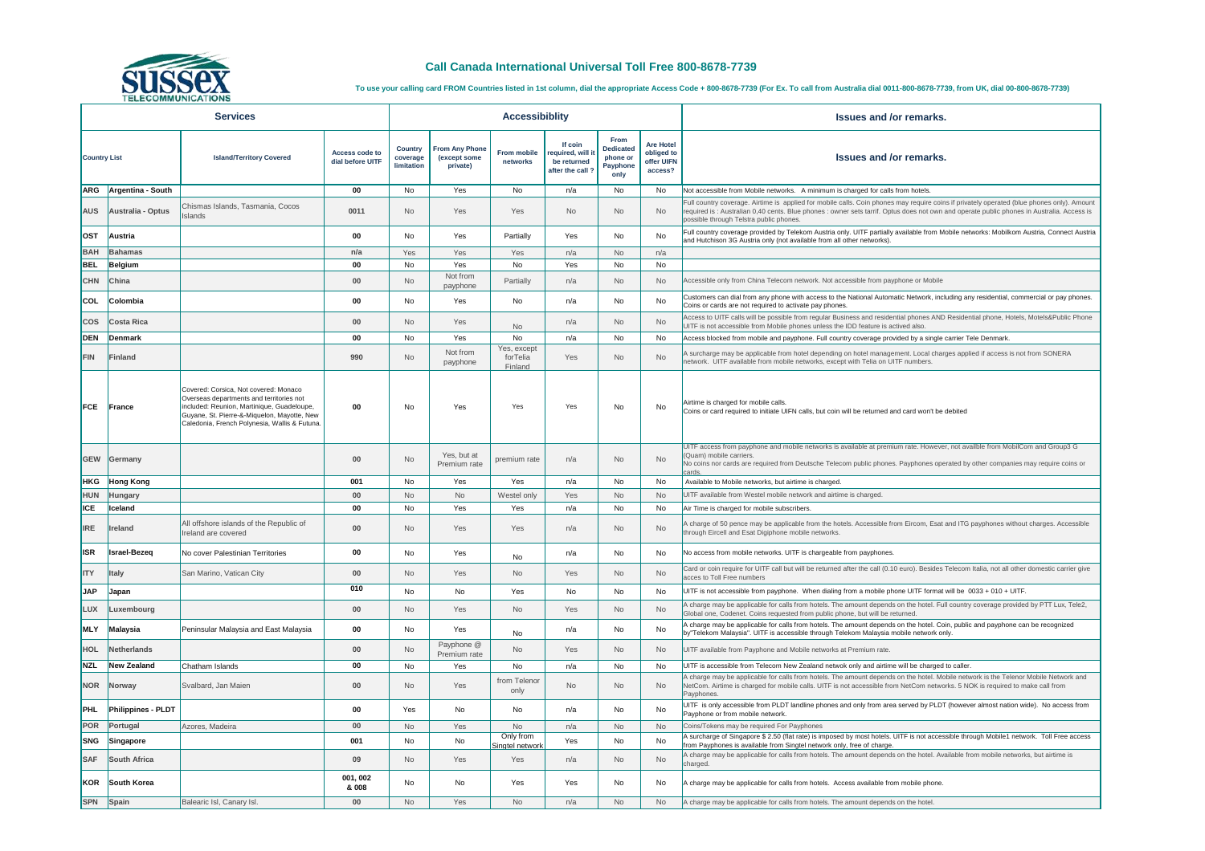| <b>TELECOMMUNICATIONS</b> |                           |                                                                                                                                                                                                                                 |                                           |                                          |                                            |                                    |                                                             |                                                                 |                                                         |                                                                                                                                                                                                                                                                                                                                    |  |  |
|---------------------------|---------------------------|---------------------------------------------------------------------------------------------------------------------------------------------------------------------------------------------------------------------------------|-------------------------------------------|------------------------------------------|--------------------------------------------|------------------------------------|-------------------------------------------------------------|-----------------------------------------------------------------|---------------------------------------------------------|------------------------------------------------------------------------------------------------------------------------------------------------------------------------------------------------------------------------------------------------------------------------------------------------------------------------------------|--|--|
| <b>Services</b>           |                           |                                                                                                                                                                                                                                 | <b>Accessibiblity</b>                     |                                          |                                            |                                    |                                                             |                                                                 | <b>Issues and /or remarks.</b>                          |                                                                                                                                                                                                                                                                                                                                    |  |  |
| <b>Country List</b>       |                           | <b>Island/Territory Covered</b>                                                                                                                                                                                                 | <b>Access code to</b><br>dial before UITF | <b>Country</b><br>coverage<br>limitation | From Any Phone<br>(except some<br>private) | <b>From mobile</b><br>networks     | If coin<br>required, will<br>be returned<br>after the call? | From<br><b>Dedicated</b><br>phone or<br><b>Payphone</b><br>only | <b>Are Hotel</b><br>obliged to<br>offer UIFN<br>access? | <b>Issues and /or remarks.</b>                                                                                                                                                                                                                                                                                                     |  |  |
| <b>ARG</b>                | Argentina - South         |                                                                                                                                                                                                                                 | 00                                        | No                                       | Yes                                        | No                                 | n/a                                                         | <b>No</b>                                                       | No                                                      | Not accessible from Mobile networks. A minimum is charged for calls from hotels.                                                                                                                                                                                                                                                   |  |  |
| <b>AUS</b>                | Australia - Optus         | Chismas Islands, Tasmania, Cocos<br>Islands                                                                                                                                                                                     | 0011                                      | No                                       | Yes                                        | Yes                                | No                                                          | No                                                              | No                                                      | Full country coverage. Airtime is applied for mobile calls. Coin phones may require coins if privately operated (blue phones only). Amount<br>required is: Australian 0,40 cents. Blue phones : owner sets tarrif. Optus does not own and operate public phones in Australia. Access is<br>possible through Telstra public phones. |  |  |
| <b>OST</b>                | <b>Austria</b>            |                                                                                                                                                                                                                                 | 00                                        | No.                                      | Yes                                        | Partially                          | Yes                                                         | No                                                              | No                                                      | Full country coverage provided by Telekom Austria only. UITF partially available from Mobile networks: Mobilkom Austria, Connect Austria<br>and Hutchison 3G Austria only (not available from all other networks).                                                                                                                 |  |  |
| <b>BAH</b>                | Bahamas                   |                                                                                                                                                                                                                                 | n/a                                       | Yes                                      | Yes                                        | Yes                                | n/a                                                         | <b>No</b>                                                       | n/a                                                     |                                                                                                                                                                                                                                                                                                                                    |  |  |
| <b>BEL</b>                | Belgium                   |                                                                                                                                                                                                                                 | 00                                        | No                                       | Yes                                        | No                                 | Yes                                                         | <b>No</b>                                                       | No                                                      |                                                                                                                                                                                                                                                                                                                                    |  |  |
| <b>CHN</b>                | China                     |                                                                                                                                                                                                                                 | $00\,$                                    | No                                       | Not from<br>payphone                       | Partially                          | n/a                                                         | No.                                                             | No                                                      | Accessible only from China Telecom network. Not accessible from payphone or Mobile                                                                                                                                                                                                                                                 |  |  |
| <b>COL</b>                | Colombia                  |                                                                                                                                                                                                                                 | 00                                        | No.                                      | Yes                                        | No                                 | n/a                                                         | No                                                              | No                                                      | Customers can dial from any phone with access to the National Automatic Network, including any residential, commercial or pay phones.<br>Coins or cards are not required to activate pay phones.                                                                                                                                   |  |  |
| <b>COS</b>                | Costa Rica                |                                                                                                                                                                                                                                 | $00\,$                                    | No                                       | Yes                                        | No                                 | n/a                                                         | No                                                              | No                                                      | Access to UITF calls will be possible from regular Business and residential phones AND Residential phone, Hotels, Motels&Public Phone<br>UITF is not accessible from Mobile phones unless the IDD feature is actived also.                                                                                                         |  |  |
| DEN                       | Denmark                   |                                                                                                                                                                                                                                 | 00                                        | No                                       | Yes                                        | No                                 | n/a                                                         | No                                                              | No                                                      | Access blocked from mobile and payphone. Full country coverage provided by a single carrier Tele Denmark.                                                                                                                                                                                                                          |  |  |
| <b>FIN</b>                | Finland                   |                                                                                                                                                                                                                                 | 990                                       | <b>No</b>                                | Not from<br>payphone                       | Yes, except<br>forTelia<br>Finland | Yes                                                         | No                                                              | No                                                      | A surcharge may be applicable from hotel depending on hotel management. Local charges applied if access is not from SONERA<br>network. UITF available from mobile networks, except with Telia on UITF numbers.                                                                                                                     |  |  |
| <b>FCE</b>                | France                    | Covered: Corsica, Not covered: Monaco<br>Overseas departments and territories not<br>included: Reunion, Martinique, Guadeloupe,<br>Guyane, St. Pierre-&-Miquelon, Mayotte, New<br>Caledonia, French Polynesia, Wallis & Futuna. | $00\,$                                    | No                                       | Yes                                        | Yes                                | Yes                                                         | No                                                              | No                                                      | Airtime is charged for mobile calls.<br>Coins or card required to initiate UIFN calls, but coin will be returned and card won't be debited                                                                                                                                                                                         |  |  |
|                           | <b>GEW</b> Germany        |                                                                                                                                                                                                                                 | $00\,$                                    | <b>No</b>                                | Yes, but at<br>Premium rate                | premium rate                       | n/a                                                         | No                                                              | No                                                      | UITF access from payphone and mobile networks is available at premium rate. However, not availble from MobilCom and Group3 G<br>(Quam) mobile carriers.<br>No coins nor cards are required from Deutsche Telecom public phones. Payphones operated by other companies may require coins or<br>cards.                               |  |  |
| <b>HKG</b>                | <b>Hong Kong</b>          |                                                                                                                                                                                                                                 | 001                                       | No                                       | Yes                                        | Yes                                | n/a                                                         | <b>No</b>                                                       | No                                                      | Available to Mobile networks, but airtime is charged.                                                                                                                                                                                                                                                                              |  |  |
| HUN                       | Hungary                   |                                                                                                                                                                                                                                 | $00\,$                                    | No                                       | <b>No</b>                                  | Westel only                        | Yes                                                         | <b>No</b>                                                       | No                                                      | UITF available from Westel mobile network and airtime is charged.                                                                                                                                                                                                                                                                  |  |  |
| <b>ICE</b>                | Iceland                   |                                                                                                                                                                                                                                 | 00                                        | No.                                      | Yes                                        | Yes                                | n/a                                                         | No                                                              | No                                                      | Air Time is charged for mobile subscribers.                                                                                                                                                                                                                                                                                        |  |  |
| <b>IRE</b>                | <b>Ireland</b>            | All offshore islands of the Republic of<br>Ireland are covered                                                                                                                                                                  | $00\,$                                    | No                                       | Yes                                        | Yes                                | n/a                                                         | No                                                              | <b>No</b>                                               | A charge of 50 pence may be applicable from the hotels. Accessible from Eircom, Esat and ITG payphones without charges. Accessible<br>through Eircell and Esat Digiphone mobile networks.                                                                                                                                          |  |  |
| <b>ISR</b>                | <b>Israel-Bezeq</b>       | No cover Palestinian Territories                                                                                                                                                                                                | 00                                        | No                                       | Yes                                        | <b>No</b>                          | n/a                                                         | No                                                              | No                                                      | No access from mobile networks. UITF is chargeable from payphones.                                                                                                                                                                                                                                                                 |  |  |
| <b>ITY</b>                | <b>Italy</b>              | San Marino, Vatican City                                                                                                                                                                                                        | $00\,$                                    | No                                       | Yes                                        | <b>No</b>                          | Yes                                                         | No                                                              | No                                                      | Card or coin require for UITF call but will be returned after the call (0.10 euro). Besides Telecom Italia, not all other domestic carrier give<br>acces to Toll Free numbers                                                                                                                                                      |  |  |
| <b>JAP</b>                | <b>Japan</b>              |                                                                                                                                                                                                                                 | 010                                       | No                                       | No                                         | Yes                                | No                                                          | No                                                              | No                                                      | UITF is not accessible from payphone. When dialing from a mobile phone UITF format will be 0033 + 010 + UITF.                                                                                                                                                                                                                      |  |  |
| LUX                       | Luxembourg                |                                                                                                                                                                                                                                 | $00\,$                                    | No                                       | Yes                                        | No                                 | Yes                                                         | No.                                                             | <b>No</b>                                               | A charge may be applicable for calls from hotels. The amount depends on the hotel. Full country coverage provided by PTT Lux, Tele2,<br>Global one, Codenet. Coins requested from public phone, but will be returned                                                                                                               |  |  |
| <b>MLY</b>                | Malaysia                  | Peninsular Malaysia and East Malaysia                                                                                                                                                                                           | 00                                        | No                                       | Yes                                        | No                                 | n/a                                                         | No                                                              | No                                                      | A charge may be applicable for calls from hotels. The amount depends on the hotel. Coin, public and payphone can be recognized<br>by"Telekom Malaysia". UITF is accessible through Telekom Malaysia mobile network only.                                                                                                           |  |  |
| HOL                       | Netherlands               |                                                                                                                                                                                                                                 | $00\,$                                    | No                                       | Payphone @<br>Premium rate                 | No                                 | Yes                                                         | <b>No</b>                                                       | <b>No</b>                                               | UITF available from Payphone and Mobile networks at Premium rate.                                                                                                                                                                                                                                                                  |  |  |
| <b>NZL</b>                | New Zealand               | Chatham Islands                                                                                                                                                                                                                 | 00                                        | No                                       | Yes                                        | No                                 | n/a                                                         | No.                                                             | No                                                      | UITF is accessible from Telecom New Zealand netwok only and airtime will be charged to caller.                                                                                                                                                                                                                                     |  |  |
| <b>NOR</b>                | Norway                    | Svalbard, Jan Maien                                                                                                                                                                                                             | $00\,$                                    | No                                       | Yes                                        | from Telenor<br>only               | No                                                          | No                                                              | <b>No</b>                                               | A charge may be applicable for calls from hotels. The amount depends on the hotel. Mobile network is the Telenor Mobile Network and<br>NetCom. Airtime is charged for mobile calls. UITF is not accessible from NetCom networks. 5 NOK is required to make call from<br>Payphones.                                                 |  |  |
| PHL                       | <b>Philippines - PLDT</b> |                                                                                                                                                                                                                                 | 00                                        | Yes                                      | No.                                        | No                                 | n/a                                                         | No                                                              | No                                                      | UITF is only accessible from PLDT landline phones and only from area served by PLDT (however almost nation wide). No access from<br>Payphone or from mobile network.                                                                                                                                                               |  |  |
| POR                       | Portugal                  | Azores, Madeira                                                                                                                                                                                                                 | $00\,$                                    | <b>No</b>                                | Yes                                        | <b>No</b>                          | n/a                                                         | No                                                              | <b>No</b>                                               | Coins/Tokens may be required For Payphones                                                                                                                                                                                                                                                                                         |  |  |
| SNG                       | Singapore                 |                                                                                                                                                                                                                                 | 001                                       | No                                       | No                                         | Only from<br>Singtel network       | Yes                                                         | <b>No</b>                                                       | No                                                      | A surcharge of Singapore \$2.50 (flat rate) is imposed by most hotels. UITF is not accessible through Mobile1 network. Toll Free access<br>from Payphones is available from Singtel network only, free of charge.                                                                                                                  |  |  |
| <b>SAF</b>                | South Africa              |                                                                                                                                                                                                                                 | 09                                        | No                                       | Yes                                        | Yes                                | n/a                                                         | No                                                              | <b>No</b>                                               | A charge may be applicable for calls from hotels. The amount depends on the hotel. Available from mobile networks, but airtime is<br>charged.                                                                                                                                                                                      |  |  |
| KOR                       | South Korea               |                                                                                                                                                                                                                                 | 001, 002<br>& 008                         | No                                       | No                                         | Yes                                | Yes                                                         | No                                                              | No                                                      | A charge may be applicable for calls from hotels. Access available from mobile phone.                                                                                                                                                                                                                                              |  |  |
| SPN Spain                 |                           | Balearic Isl, Canary Isl.                                                                                                                                                                                                       | $00\,$                                    | <b>No</b>                                | Yes                                        | No                                 | n/a                                                         | No.                                                             | <b>No</b>                                               | A charge may be applicable for calls from hotels. The amount depends on the hotel.                                                                                                                                                                                                                                                 |  |  |



## **Call Canada International Universal Toll Free 800-8678-7739**

**To use your calling card FROM Countries listed in 1st column, dial the appropriate Access Code + 800-8678-7739 (For Ex. To call from Australia dial 0011-800-8678-7739, from UK, dial 00-800-8678-7739)**